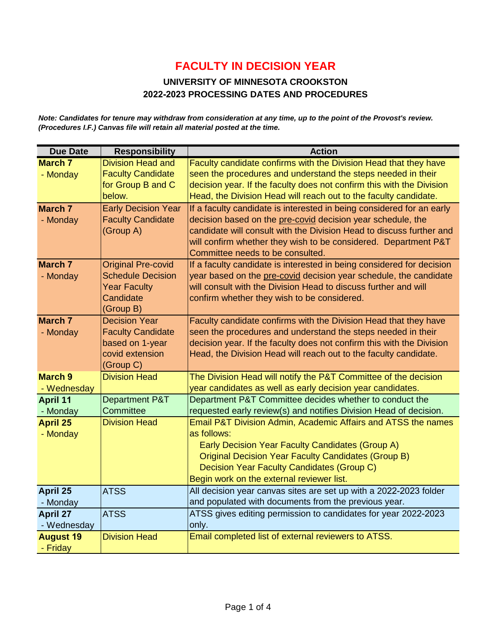#### **UNIVERSITY OF MINNESOTA CROOKSTON 2022-2023 PROCESSING DATES AND PROCEDURES**

*Note: Candidates for tenure may withdraw from consideration at any time, up to the point of the Provost's review. (Procedures I.F.) Canvas file will retain all material posted at the time.*

| <b>Due Date</b>  | <b>Responsibility</b>      | <b>Action</b>                                                         |
|------------------|----------------------------|-----------------------------------------------------------------------|
| <b>March 7</b>   | <b>Division Head and</b>   | Faculty candidate confirms with the Division Head that they have      |
| - Monday         | <b>Faculty Candidate</b>   | seen the procedures and understand the steps needed in their          |
|                  | for Group B and C          | decision year. If the faculty does not confirm this with the Division |
|                  | below.                     | Head, the Division Head will reach out to the faculty candidate.      |
| <b>March 7</b>   | <b>Early Decision Year</b> | If a faculty candidate is interested in being considered for an early |
| - Monday         | <b>Faculty Candidate</b>   | decision based on the pre-covid decision year schedule, the           |
|                  | (Group A)                  | candidate will consult with the Division Head to discuss further and  |
|                  |                            | will confirm whether they wish to be considered. Department P&T       |
|                  |                            | Committee needs to be consulted.                                      |
| <b>March 7</b>   | <b>Original Pre-covid</b>  | If a faculty candidate is interested in being considered for decision |
| - Monday         | <b>Schedule Decision</b>   | year based on the pre-covid decision year schedule, the candidate     |
|                  | <b>Year Faculty</b>        | will consult with the Division Head to discuss further and will       |
|                  | Candidate                  | confirm whether they wish to be considered.                           |
|                  | (Group B)                  |                                                                       |
| <b>March 7</b>   | <b>Decision Year</b>       | Faculty candidate confirms with the Division Head that they have      |
| - Monday         | <b>Faculty Candidate</b>   | seen the procedures and understand the steps needed in their          |
|                  | based on 1-year            | decision year. If the faculty does not confirm this with the Division |
|                  | covid extension            | Head, the Division Head will reach out to the faculty candidate.      |
|                  | (Group C)                  |                                                                       |
| <b>March 9</b>   | <b>Division Head</b>       | The Division Head will notify the P&T Committee of the decision       |
| - Wednesday      |                            | year candidates as well as early decision year candidates.            |
| April 11         | Department P&T             | Department P&T Committee decides whether to conduct the               |
| - Monday         | Committee                  | requested early review(s) and notifies Division Head of decision.     |
| <b>April 25</b>  | <b>Division Head</b>       | Email P&T Division Admin, Academic Affairs and ATSS the names         |
| - Monday         |                            | as follows:                                                           |
|                  |                            | Early Decision Year Faculty Candidates (Group A)                      |
|                  |                            | <b>Original Decision Year Faculty Candidates (Group B)</b>            |
|                  |                            | Decision Year Faculty Candidates (Group C)                            |
|                  |                            | Begin work on the external reviewer list.                             |
| April 25         | <b>ATSS</b>                | All decision year canvas sites are set up with a 2022-2023 folder     |
| - Monday         |                            | and populated with documents from the previous year.                  |
| April 27         | <b>ATSS</b>                | ATSS gives editing permission to candidates for year 2022-2023        |
| - Wednesday      |                            | only.                                                                 |
| <b>August 19</b> | <b>Division Head</b>       | Email completed list of external reviewers to ATSS.                   |
| - Friday         |                            |                                                                       |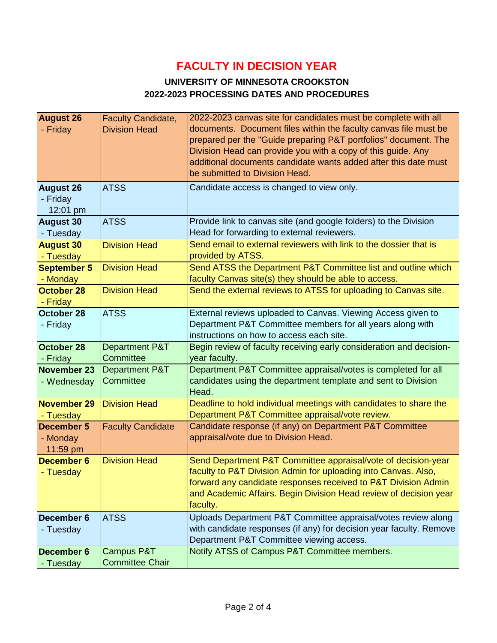#### **UNIVERSITY OF MINNESOTA CROOKSTON 2022-2023 PROCESSING DATES AND PROCEDURES**

| <b>August 26</b>       | <b>Faculty Candidate,</b> | 2022-2023 canvas site for candidates must be complete with all                                                                  |
|------------------------|---------------------------|---------------------------------------------------------------------------------------------------------------------------------|
| - Friday               | <b>Division Head</b>      | documents. Document files within the faculty canvas file must be                                                                |
|                        |                           | prepared per the "Guide preparing P&T portfolios" document. The<br>Division Head can provide you with a copy of this guide. Any |
|                        |                           | additional documents candidate wants added after this date must                                                                 |
|                        |                           | be submitted to Division Head.                                                                                                  |
| <b>August 26</b>       | <b>ATSS</b>               | Candidate access is changed to view only.                                                                                       |
| - Friday               |                           |                                                                                                                                 |
| 12:01 pm               |                           |                                                                                                                                 |
| <b>August 30</b>       | <b>ATSS</b>               | Provide link to canvas site (and google folders) to the Division                                                                |
| - Tuesday              |                           | Head for forwarding to external reviewers.                                                                                      |
| <b>August 30</b>       | <b>Division Head</b>      | Send email to external reviewers with link to the dossier that is                                                               |
| - Tuesday              |                           | provided by ATSS.                                                                                                               |
| <b>September 5</b>     | <b>Division Head</b>      | Send ATSS the Department P&T Committee list and outline which                                                                   |
| - Monday               |                           | faculty Canvas site(s) they should be able to access.                                                                           |
| October 28             | <b>Division Head</b>      | Send the external reviews to ATSS for uploading to Canvas site.                                                                 |
| - Friday<br>October 28 | <b>ATSS</b>               | External reviews uploaded to Canvas. Viewing Access given to                                                                    |
| - Friday               |                           | Department P&T Committee members for all years along with                                                                       |
|                        |                           | instructions on how to access each site.                                                                                        |
| October 28             | <b>Department P&amp;T</b> | Begin review of faculty receiving early consideration and decision-                                                             |
| - Friday               | Committee                 | year faculty.                                                                                                                   |
| <b>November 23</b>     | <b>Department P&amp;T</b> | Department P&T Committee appraisal/votes is completed for all                                                                   |
| - Wednesday            | Committee                 | candidates using the department template and sent to Division                                                                   |
|                        |                           | Head.                                                                                                                           |
| <b>November 29</b>     | <b>Division Head</b>      | Deadline to hold individual meetings with candidates to share the                                                               |
| - Tuesday              |                           | Department P&T Committee appraisal/vote review.                                                                                 |
| <b>December 5</b>      | <b>Faculty Candidate</b>  | Candidate response (if any) on Department P&T Committee<br>appraisal/vote due to Division Head.                                 |
| - Monday<br>11:59 pm   |                           |                                                                                                                                 |
| December 6             | <b>Division Head</b>      | Send Department P&T Committee appraisal/vote of decision-year                                                                   |
| - Tuesday              |                           | faculty to P&T Division Admin for uploading into Canvas. Also,                                                                  |
|                        |                           | forward any candidate responses received to P&T Division Admin                                                                  |
|                        |                           | and Academic Affairs. Begin Division Head review of decision year                                                               |
|                        |                           | faculty.                                                                                                                        |
| December 6             | <b>ATSS</b>               | Uploads Department P&T Committee appraisal/votes review along                                                                   |
| - Tuesday              |                           | with candidate responses (if any) for decision year faculty. Remove                                                             |
|                        |                           | Department P&T Committee viewing access.                                                                                        |
| December 6             | Campus P&T                | Notify ATSS of Campus P&T Committee members.                                                                                    |
| - Tuesday              | <b>Committee Chair</b>    |                                                                                                                                 |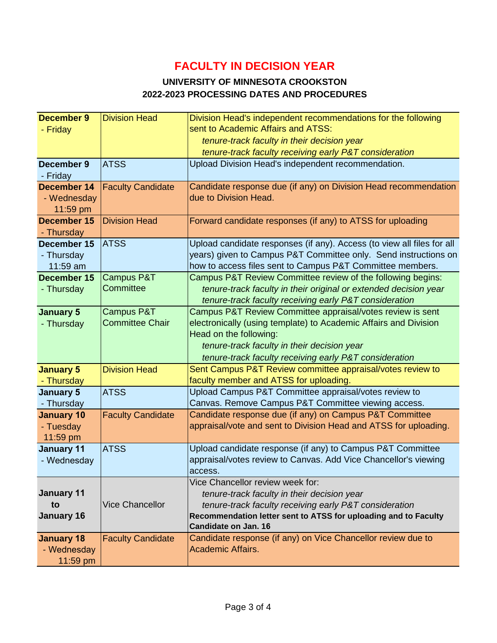#### **UNIVERSITY OF MINNESOTA CROOKSTON 2022-2023 PROCESSING DATES AND PROCEDURES**

| <b>December 9</b>     | <b>Division Head</b>     | Division Head's independent recommendations for the following                                                |
|-----------------------|--------------------------|--------------------------------------------------------------------------------------------------------------|
| - Friday              |                          | sent to Academic Affairs and ATSS:                                                                           |
|                       |                          | tenure-track faculty in their decision year                                                                  |
|                       |                          | tenure-track faculty receiving early P&T consideration                                                       |
| December 9            | <b>ATSS</b>              | Upload Division Head's independent recommendation.                                                           |
| - Friday              |                          |                                                                                                              |
| <b>December 14</b>    | <b>Faculty Candidate</b> | Candidate response due (if any) on Division Head recommendation                                              |
| - Wednesday           |                          | due to Division Head.                                                                                        |
| 11:59 pm              |                          |                                                                                                              |
| December 15           | <b>Division Head</b>     | Forward candidate responses (if any) to ATSS for uploading                                                   |
| - Thursday            |                          |                                                                                                              |
| December 15           | <b>ATSS</b>              | Upload candidate responses (if any). Access (to view all files for all                                       |
| - Thursday            |                          | years) given to Campus P&T Committee only. Send instructions on                                              |
| 11:59 am              |                          | how to access files sent to Campus P&T Committee members.                                                    |
| December 15           | <b>Campus P&amp;T</b>    | Campus P&T Review Committee review of the following begins:                                                  |
| - Thursday            | Committee                | tenure-track faculty in their original or extended decision year                                             |
|                       |                          | tenure-track faculty receiving early P&T consideration                                                       |
| <b>January 5</b>      | <b>Campus P&amp;T</b>    | Campus P&T Review Committee appraisal/votes review is sent                                                   |
| - Thursday            | <b>Committee Chair</b>   | electronically (using template) to Academic Affairs and Division                                             |
|                       |                          | Head on the following:                                                                                       |
|                       |                          | tenure-track faculty in their decision year                                                                  |
|                       |                          | tenure-track faculty receiving early P&T consideration                                                       |
| <b>January 5</b>      | <b>Division Head</b>     | Sent Campus P&T Review committee appraisal/votes review to                                                   |
| - Thursday            |                          | faculty member and ATSS for uploading.                                                                       |
| <b>January 5</b>      | <b>ATSS</b>              | Upload Campus P&T Committee appraisal/votes review to<br>Canvas. Remove Campus P&T Committee viewing access. |
| - Thursday            |                          | Candidate response due (if any) on Campus P&T Committee                                                      |
| <b>January 10</b>     | <b>Faculty Candidate</b> | appraisal/vote and sent to Division Head and ATSS for uploading.                                             |
| - Tuesday<br>11:59 pm |                          |                                                                                                              |
| <b>January 11</b>     | <b>ATSS</b>              | Upload candidate response (if any) to Campus P&T Committee                                                   |
| - Wednesday           |                          | appraisal/votes review to Canvas. Add Vice Chancellor's viewing                                              |
|                       |                          | access.                                                                                                      |
|                       |                          | Vice Chancellor review week for:                                                                             |
| <b>January 11</b>     |                          | tenure-track faculty in their decision year                                                                  |
| to                    | <b>Vice Chancellor</b>   | tenure-track faculty receiving early P&T consideration                                                       |
| <b>January 16</b>     |                          | Recommendation letter sent to ATSS for uploading and to Faculty                                              |
|                       |                          | Candidate on Jan. 16                                                                                         |
| <b>January 18</b>     | <b>Faculty Candidate</b> | Candidate response (if any) on Vice Chancellor review due to                                                 |
| - Wednesday           |                          | Academic Affairs.                                                                                            |
| 11:59 pm              |                          |                                                                                                              |